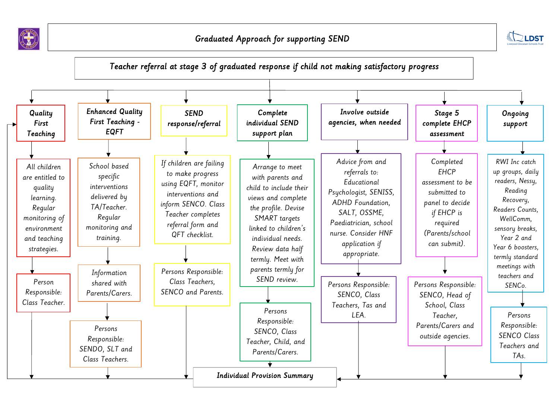